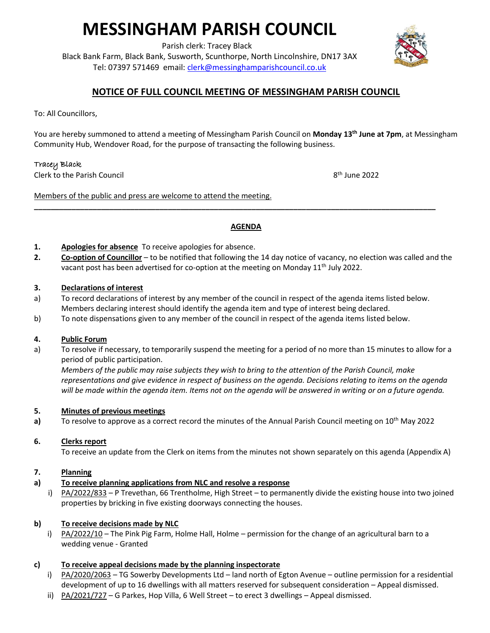# **MESSINGHAM PARISH COUNCIL**

Parish clerk: Tracey Black

Black Bank Farm, Black Bank, Susworth, Scunthorpe, North Lincolnshire, DN17 3AX Tel: 07397 571469 email: [clerk@messinghamparishcouncil.co.uk](mailto:clerk@messinghamparishcouncil.co.uk)



# **NOTICE OF FULL COUNCIL MEETING OF MESSINGHAM PARISH COUNCIL**

To: All Councillors,

You are hereby summoned to attend a meeting of Messingham Parish Council on **Monday 13th June at 7pm**, at Messingham Community Hub, Wendover Road, for the purpose of transacting the following business.

## Tracey Black

Clerk to the Parish Council 8

8<sup>th</sup> June 2022

Members of the public and press are welcome to attend the meeting.

## **AGENDA**

**\_\_\_\_\_\_\_\_\_\_\_\_\_\_\_\_\_\_\_\_\_\_\_\_\_\_\_\_\_\_\_\_\_\_\_\_\_\_\_\_\_\_\_\_\_\_\_\_\_\_\_\_\_\_\_\_\_\_\_\_\_\_\_\_\_\_\_\_\_\_\_\_\_\_\_\_\_\_\_\_\_\_\_\_\_\_\_\_\_\_\_\_\_\_\_\_**

- **1. Apologies for absence** To receive apologies for absence.
- **2. Co-option of Councillor** to be notified that following the 14 day notice of vacancy, no election was called and the vacant post has been advertised for co-option at the meeting on Monday 11<sup>th</sup> July 2022.

#### **3. Declarations of interest**

- a) To record declarations of interest by any member of the council in respect of the agenda items listed below. Members declaring interest should identify the agenda item and type of interest being declared.
- b) To note dispensations given to any member of the council in respect of the agenda items listed below.

#### **4. Public Forum**

a) To resolve if necessary, to temporarily suspend the meeting for a period of no more than 15 minutes to allow for a period of public participation.

*Members of the public may raise subjects they wish to bring to the attention of the Parish Council, make representations and give evidence in respect of business on the agenda. Decisions relating to items on the agenda will be made within the agenda item. Items not on the agenda will be answered in writing or on a future agenda.*

#### **5. Minutes of previous meetings**

**a)** To resolve to approve as a correct record the minutes of the Annual Parish Council meeting on 10<sup>th</sup> May 2022

#### **6. Clerks report**

To receive an update from the Clerk on items from the minutes not shown separately on this agenda (Appendix A)

#### **7. Planning**

- **a) To receive planning applications from NLC and resolve a response**
	- i) PA/2022/833 P Trevethan, 66 Trentholme, High Street to permanently divide the existing house into two joined properties by bricking in five existing doorways connecting the houses.

## **b) To receive decisions made by NLC**

 i) PA/2022/10 – The Pink Pig Farm, Holme Hall, Holme – permission for the change of an agricultural barn to a wedding venue - Granted

## **c) To receive appeal decisions made by the planning inspectorate**

- i) PA/2020/2063 TG Sowerby Developments Ltd land north of Egton Avenue outline permission for a residential development of up to 16 dwellings with all matters reserved for subsequent consideration – Appeal dismissed.
- ii)  $PA/2021/727 G$  Parkes, Hop Villa, 6 Well Street to erect 3 dwellings Appeal dismissed.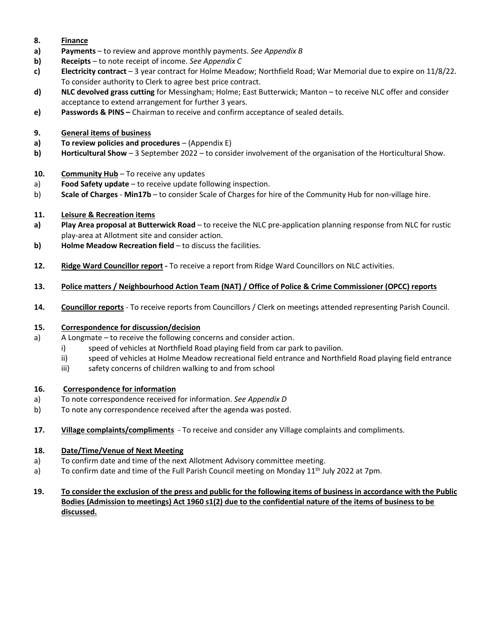- **8. Finance**
- **a) Payments** to review and approve monthly payments. *See Appendix B*
- **b) Receipts** to note receipt of income. *See Appendix C*
- **c) Electricity contract** 3 year contract for Holme Meadow; Northfield Road; War Memorial due to expire on 11/8/22. To consider authority to Clerk to agree best price contract.
- **d) NLC devolved grass cutting** for Messingham; Holme; East Butterwick; Manton to receive NLC offer and consider acceptance to extend arrangement for further 3 years.
- **e) Passwords & PINS –** Chairman to receive and confirm acceptance of sealed details.
- **9. General items of business**
- **a) To review policies and procedures** (Appendix E)
- **b) Horticultural Show** 3 September 2022 to consider involvement of the organisation of the Horticultural Show.
- **10. Community Hub** To receive any updates
- a) **Food Safety update** to receive update following inspection.
- b) **Scale of Charges Min17b** to consider Scale of Charges for hire of the Community Hub for non-village hire.
- **11. Leisure & Recreation items**
- **a) Play Area proposal at Butterwick Road** to receive the NLC pre-application planning response from NLC for rustic play-area at Allotment site and consider action.
- **b) Holme Meadow Recreation field** to discuss the facilities.
- **12. Ridge Ward Councillor report -** To receive a report from Ridge Ward Councillors on NLC activities.
- **13. Police matters / Neighbourhood Action Team (NAT) / Office of Police & Crime Commissioner (OPCC) reports**
- **14. Councillor reports** To receive reports from Councillors / Clerk on meetings attended representing Parish Council.

## **15. Correspondence for discussion/decision**

- a) A Longmate to receive the following concerns and consider action.
	- i) speed of vehicles at Northfield Road playing field from car park to pavilion.
	- ii) speed of vehicles at Holme Meadow recreational field entrance and Northfield Road playing field entrance
	- iii) safety concerns of children walking to and from school

## **16. Correspondence for information**

- a) To note correspondence received for information. *See Appendix D*
- b) To note any correspondence received after the agenda was posted.
- **17. Village complaints/compliments**  To receive and consider any Village complaints and compliments.

## **18. Date/Time/Venue of Next Meeting**

- a) To confirm date and time of the next Allotment Advisory committee meeting.
- a) To confirm date and time of the Full Parish Council meeting on Monday 11<sup>th</sup> July 2022 at 7pm.
- **19. To consider the exclusion of the press and public for the following items of business in accordance with the Public Bodies (Admission to meetings) Act 1960 s1(2) due to the confidential nature of the items of business to be discussed.**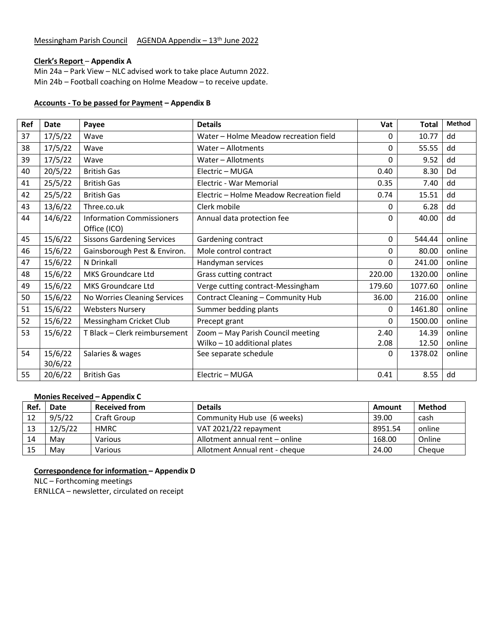## **Clerk's Report** – **Appendix A**

Min 24a – Park View – NLC advised work to take place Autumn 2022. Min 24b – Football coaching on Holme Meadow – to receive update.

#### **Accounts - To be passed for Payment – Appendix B**

| <b>Ref</b> | Date    | Payee                             | <b>Details</b>                           | Vat      | <b>Total</b> | <b>Method</b> |
|------------|---------|-----------------------------------|------------------------------------------|----------|--------------|---------------|
| 37         | 17/5/22 | Wave                              | Water - Holme Meadow recreation field    | 0        | 10.77        | dd            |
| 38         | 17/5/22 | Wave                              | Water - Allotments                       | $\Omega$ | 55.55        | dd            |
| 39         | 17/5/22 | Wave                              | Water - Allotments                       | $\Omega$ | 9.52         | dd            |
| 40         | 20/5/22 | <b>British Gas</b>                | Electric - MUGA                          | 0.40     | 8.30         | Dd            |
| 41         | 25/5/22 | <b>British Gas</b>                | Electric - War Memorial                  | 0.35     | 7.40         | dd            |
| 42         | 25/5/22 | <b>British Gas</b>                | Electric - Holme Meadow Recreation field | 0.74     | 15.51        | dd            |
| 43         | 13/6/22 | Three.co.uk                       | Clerk mobile                             | 0        | 6.28         | dd            |
| 44         | 14/6/22 | <b>Information Commissioners</b>  | Annual data protection fee               | 0        | 40.00        | dd            |
|            |         | Office (ICO)                      |                                          |          |              |               |
| 45         | 15/6/22 | <b>Sissons Gardening Services</b> | Gardening contract                       | 0        | 544.44       | online        |
| 46         | 15/6/22 | Gainsborough Pest & Environ.      | Mole control contract                    | 0        | 80.00        | online        |
| 47         | 15/6/22 | N Drinkall                        | Handyman services                        | 0        | 241.00       | online        |
| 48         | 15/6/22 | MKS Groundcare Ltd                | Grass cutting contract                   | 220.00   | 1320.00      | online        |
| 49         | 15/6/22 | MKS Groundcare Ltd                | Verge cutting contract-Messingham        | 179.60   | 1077.60      | online        |
| 50         | 15/6/22 | No Worries Cleaning Services      | Contract Cleaning - Community Hub        | 36.00    | 216.00       | online        |
| 51         | 15/6/22 | <b>Websters Nursery</b>           | Summer bedding plants                    | 0        | 1461.80      | online        |
| 52         | 15/6/22 | Messingham Cricket Club           | Precept grant                            | $\Omega$ | 1500.00      | online        |
| 53         | 15/6/22 | T Black - Clerk reimbursement     | Zoom - May Parish Council meeting        | 2.40     | 14.39        | online        |
|            |         |                                   | Wilko $-10$ additional plates            | 2.08     | 12.50        | online        |
| 54         | 15/6/22 | Salaries & wages                  | See separate schedule                    | 0        | 1378.02      | online        |
|            | 30/6/22 |                                   |                                          |          |              |               |
| 55         | 20/6/22 | <b>British Gas</b>                | Electric - MUGA                          | 0.41     | 8.55         | dd            |

# **Monies Received – Appendix C**

| Ref. | Date    | <b>Received from</b> | <b>Details</b>                 | Amount  | Method |
|------|---------|----------------------|--------------------------------|---------|--------|
| 12   | 9/5/22  | Craft Group          | Community Hub use (6 weeks)    | 39.00   | cash   |
| 13   | 12/5/22 | HMRC                 | VAT 2021/22 repayment          | 8951.54 | online |
| 14   | Mav     | Various              | Allotment annual rent – online | 168.00  | Online |
| 15   | Mav     | Various              | Allotment Annual rent - cheque | 24.00   | Cheque |

**Correspondence for information – Appendix D**

NLC – Forthcoming meetings

ERNLLCA – newsletter, circulated on receipt